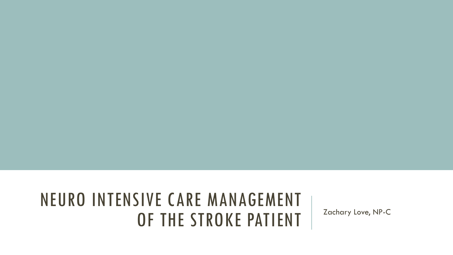#### NEURO INTENSIVE CARE MANAGEMENT OF THE STROKE PATIENT | Zachary Love, NP-C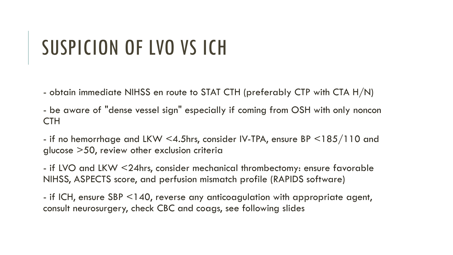# SUSPICION OF LVO VS ICH

- obtain immediate NIHSS en route to STAT CTH (preferably CTP with CTA H/N)

- be aware of "dense vessel sign" especially if coming from OSH with only noncon CTH

- if no hemorrhage and LKW <4.5hrs, consider IV-TPA, ensure BP <185/110 and glucose >50, review other exclusion criteria

- if LVO and LKW <24hrs, consider mechanical thrombectomy: ensure favorable NIHSS, ASPECTS score, and perfusion mismatch profile (RAPIDS software)

- if ICH, ensure SBP <140, reverse any anticoagulation with appropriate agent, consult neurosurgery, check CBC and coags, see following slides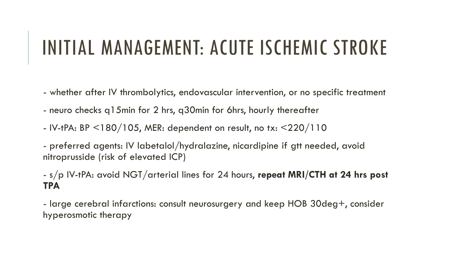## INITIAL MANAGEMENT: ACUTE ISCHEMIC STROKE

- whether after IV thrombolytics, endovascular intervention, or no specific treatment
- neuro checks q15min for 2 hrs, q30min for 6hrs, hourly thereafter
- IV-tPA: BP  $\leq$ 180/105, MER: dependent on result, no tx:  $\leq$ 220/110

- preferred agents: IV labetalol/hydralazine, nicardipine if gtt needed, avoid nitroprusside (risk of elevated ICP)

- s/p IV-tPA: avoid NGT/arterial lines for 24 hours, **repeat MRI/CTH at 24 hrs post TPA**

- large cerebral infarctions: consult neurosurgery and keep HOB 30deg+, consider hyperosmotic therapy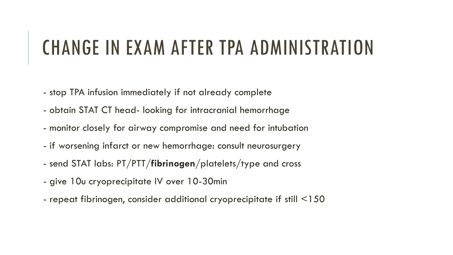#### CHANGE IN EXAM AFTER TPA ADMINISTRATION

- stop TPA infusion immediately if not already complete
- obtain STAT CT head- looking for intracranial hemorrhage
- monitor closely for airway compromise and need for intubation
- if worsening infarct or new hemorrhage: consult neurosurgery
- send STAT labs: PT/PTT/**fibrinogen**/platelets/type and cross
- give 10u cryoprecipitate IV over 10-30min
- repeat fibrinogen, consider additional cryoprecipitate if still <150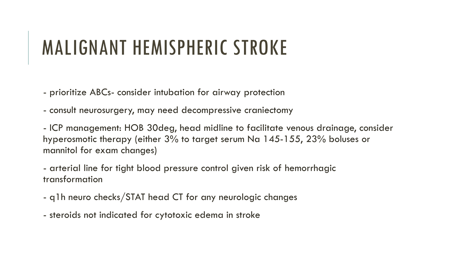## MALIGNANT HEMISPHERIC STROKE

- prioritize ABCs- consider intubation for airway protection
- consult neurosurgery, may need decompressive craniectomy

- ICP management: HOB 30deg, head midline to facilitate venous drainage, consider hyperosmotic therapy (either 3% to target serum Na 145-155, 23% boluses or mannitol for exam changes)

- arterial line for tight blood pressure control given risk of hemorrhagic transformation

- q1h neuro checks/STAT head CT for any neurologic changes
- steroids not indicated for cytotoxic edema in stroke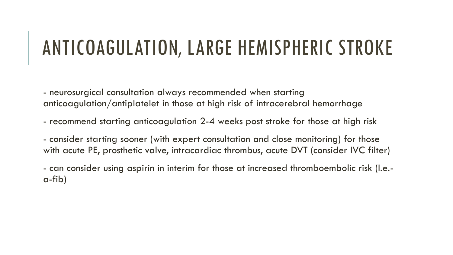#### ANTICOAGULATION, LARGE HEMISPHERIC STROKE

- neurosurgical consultation always recommended when starting anticoagulation/antiplatelet in those at high risk of intracerebral hemorrhage

- recommend starting anticoagulation 2-4 weeks post stroke for those at high risk
- consider starting sooner (with expert consultation and close monitoring) for those with acute PE, prosthetic valve, intracardiac thrombus, acute DVT (consider IVC filter)

- can consider using aspirin in interim for those at increased thromboembolic risk (I.e. a-fib)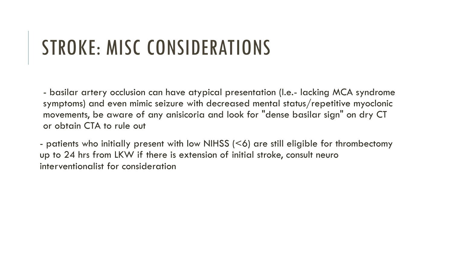# STROKE: MISC CONSIDERATIONS

- basilar artery occlusion can have atypical presentation (I.e.- lacking MCA syndrome symptoms) and even mimic seizure with decreased mental status/repetitive myoclonic movements, be aware of any anisicoria and look for "dense basilar sign" on dry CT or obtain CTA to rule out

- patients who initially present with low NIHSS (<6) are still eligible for thrombectomy up to 24 hrs from LKW if there is extension of initial stroke, consult neuro interventionalist for consideration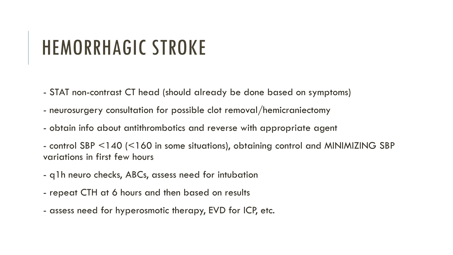## HEMORRHAGIC STROKE

- STAT non-contrast CT head (should already be done based on symptoms)
- neurosurgery consultation for possible clot removal/hemicraniectomy
- obtain info about antithrombotics and reverse with appropriate agent
- control SBP <140 (<160 in some situations), obtaining control and MINIMIZING SBP variations in first few hours
- q1h neuro checks, ABCs, assess need for intubation
- repeat CTH at 6 hours and then based on results
- assess need for hyperosmotic therapy, EVD for ICP, etc.